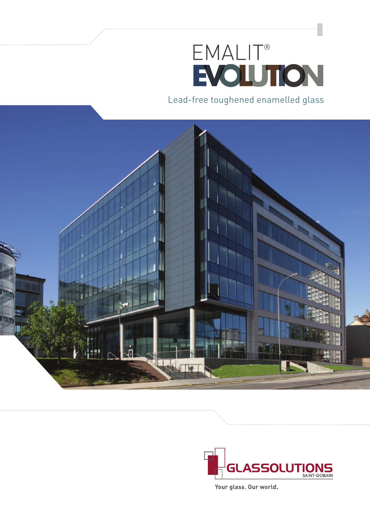# EMALIT®<br>EVOLUTION

Lead-free toughened enamelled glass





Your glass. Our world.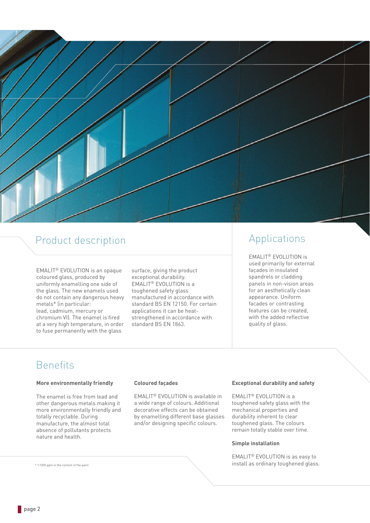

# Product description

EMALIT® EVOLUTION is an opaque coloured glass, produced by uniformly enamelling one side of the glass. The new enamels used do not contain any dangerous heavy metals\* (in particular: lead, cadmium, mercury or chromium VI). The enamel is fired at a very high temperature, in order to fuse permanently with the glass

surface, giving the product exceptional durability. EMALIT® EVOLUTION is a toughened safety glass manufactured in accordance with standard BS EN 12150. For certain applications it can be heatstrengthened in accordance with standard BS EN 1863.

# Applications

EMALIT® EVOLUTION is used primarily for external façades in insulated spandrels or cladding panels in non-vision areas for an aesthetically clean appearance. Uniform facades or contrasting features can be created, with the added reflective quality of glass.

# Benefits

### **More environmentally friendly**

The enamel is free from lead and other dangerous metals making it more environmentally friendly and totally recyclable. During manufacture, the almost total absence of pollutants protects nature and health.

### **Coloured façades**

EMALIT® EVOLUTION is available in a wide range of colours. Additional decorative effects can be obtained by enamelling different base glasses and/or designing specific colours.

### **Exceptional durability and safety**

EMALIT® EVOLUTION is a toughened safety glass with the mechanical properties and durability inherent to clear toughened glass. The colours remain totally stable over time.

### **Simple installation**

EMALIT® EVOLUTION is as easy to install as ordinary toughened glass.

 $*$  < 1000 ppm in the content of the paint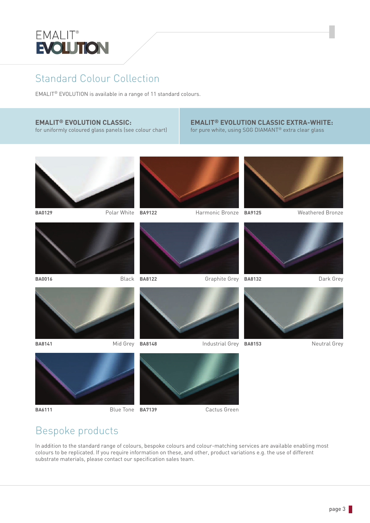

# Standard Colour Collection

EMALIT® EVOLUTION is available in a range of 11 standard colours.

## **EMALIT® EVOLUTION CLASSIC:**

for uniformly coloured glass panels (see colour chart)

### **EMALIT® EVOLUTION CLASSIC EXTRA-WHITE:** for pure white, using SGG DIAMANT® extra clear glass



**BA6111** Blue Tone **BA7139** Cactus Green

# Bespoke products

In addition to the standard range of colours, bespoke colours and colour-matching services are available enabling most colours to be replicated. If you require information on these, and other, product variations e.g. the use of different substrate materials, please contact our specification sales team.